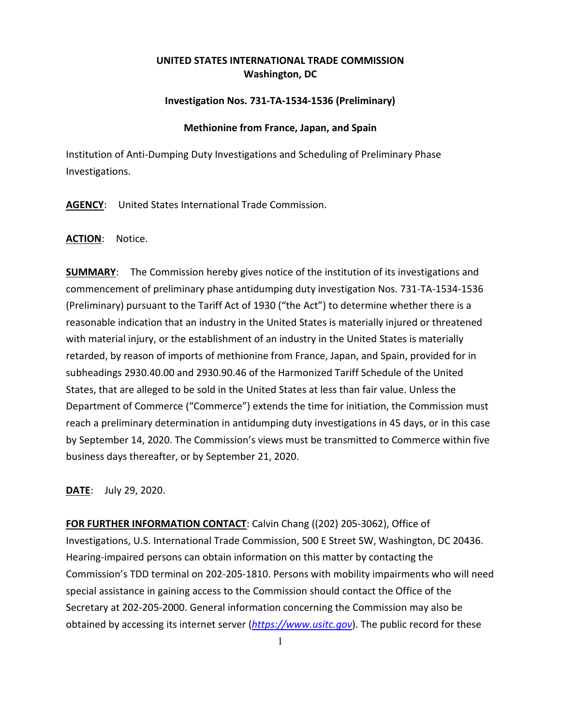# **UNITED STATES INTERNATIONAL TRADE COMMISSION Washington, DC**

# **Investigation Nos. 731-TA-1534-1536 (Preliminary)**

#### **Methionine from France, Japan, and Spain**

Institution of Anti-Dumping Duty Investigations and Scheduling of Preliminary Phase Investigations.

**AGENCY**: United States International Trade Commission.

## **ACTION**: Notice.

**SUMMARY:** The Commission hereby gives notice of the institution of its investigations and commencement of preliminary phase antidumping duty investigation Nos. 731-TA-1534-1536 (Preliminary) pursuant to the Tariff Act of 1930 ("the Act") to determine whether there is a reasonable indication that an industry in the United States is materially injured or threatened with material injury, or the establishment of an industry in the United States is materially retarded, by reason of imports of methionine from France, Japan, and Spain, provided for in subheadings 2930.40.00 and 2930.90.46 of the Harmonized Tariff Schedule of the United States, that are alleged to be sold in the United States at less than fair value. Unless the Department of Commerce ("Commerce") extends the time for initiation, the Commission must reach a preliminary determination in antidumping duty investigations in 45 days, or in this case by September 14, 2020. The Commission's views must be transmitted to Commerce within five business days thereafter, or by September 21, 2020.

**DATE**: July 29, 2020.

**FOR FURTHER INFORMATION CONTACT**: Calvin Chang ((202) 205-3062), Office of Investigations, U.S. International Trade Commission, 500 E Street SW, Washington, DC 20436. Hearing-impaired persons can obtain information on this matter by contacting the Commission's TDD terminal on 202-205-1810. Persons with mobility impairments who will need special assistance in gaining access to the Commission should contact the Office of the Secretary at 202-205-2000. General information concerning the Commission may also be obtained by accessing its internet server (*[https://www.usitc.gov](https://www.usitc.gov/)*). The public record for these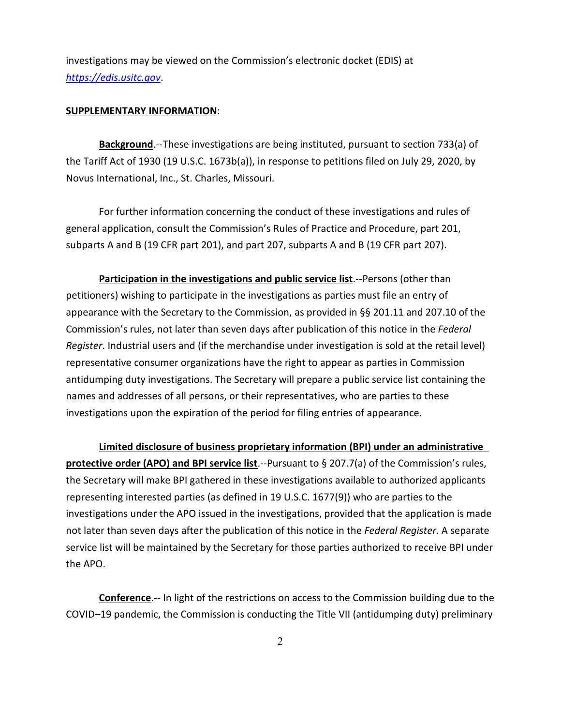investigations may be viewed on the Commission's electronic docket (EDIS) at *[https://edis.usitc.gov](https://edis.usitc.gov/)*.

## **SUPPLEMENTARY INFORMATION**:

**Background**.--These investigations are being instituted, pursuant to section 733(a) of the Tariff Act of 1930 (19 U.S.C. 1673b(a)), in response to petitions filed on July 29, 2020, by Novus International, Inc., St. Charles, Missouri.

For further information concerning the conduct of these investigations and rules of general application, consult the Commission's Rules of Practice and Procedure, part 201, subparts A and B (19 CFR part 201), and part 207, subparts A and B (19 CFR part 207).

**Participation in the investigations and public service list**.--Persons (other than petitioners) wishing to participate in the investigations as parties must file an entry of appearance with the Secretary to the Commission, as provided in §§ 201.11 and 207.10 of the Commission's rules, not later than seven days after publication of this notice in the *Federal Register*. Industrial users and (if the merchandise under investigation is sold at the retail level) representative consumer organizations have the right to appear as parties in Commission antidumping duty investigations. The Secretary will prepare a public service list containing the names and addresses of all persons, or their representatives, who are parties to these investigations upon the expiration of the period for filing entries of appearance.

**Limited disclosure of business proprietary information (BPI) under an administrative protective order (APO) and BPI service list**.--Pursuant to § 207.7(a) of the Commission's rules, the Secretary will make BPI gathered in these investigations available to authorized applicants representing interested parties (as defined in 19 U.S.C. 1677(9)) who are parties to the investigations under the APO issued in the investigations, provided that the application is made not later than seven days after the publication of this notice in the *Federal Register*. A separate service list will be maintained by the Secretary for those parties authorized to receive BPI under the APO.

**Conference**.-- In light of the restrictions on access to the Commission building due to the COVID–19 pandemic, the Commission is conducting the Title VII (antidumping duty) preliminary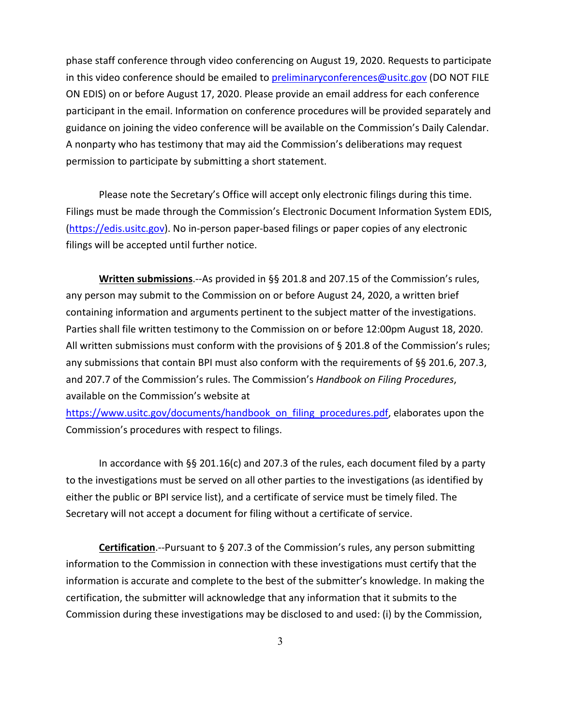phase staff conference through video conferencing on August 19, 2020. Requests to participate in this video conference should be emailed to [preliminaryconferences@usitc.gov](mailto:preliminaryconferences@usitc.gov) (DO NOT FILE ON EDIS) on or before August 17, 2020. Please provide an email address for each conference participant in the email. Information on conference procedures will be provided separately and guidance on joining the video conference will be available on the Commission's Daily Calendar. A nonparty who has testimony that may aid the Commission's deliberations may request permission to participate by submitting a short statement.

Please note the Secretary's Office will accept only electronic filings during this time. Filings must be made through the Commission's Electronic Document Information System EDIS, [\(https://edis.usitc.gov\)](https://edis.usitc.gov/). No in-person paper-based filings or paper copies of any electronic filings will be accepted until further notice.

**Written submissions**.--As provided in §§ 201.8 and 207.15 of the Commission's rules, any person may submit to the Commission on or before August 24, 2020, a written brief containing information and arguments pertinent to the subject matter of the investigations. Parties shall file written testimony to the Commission on or before 12:00pm August 18, 2020. All written submissions must conform with the provisions of § 201.8 of the Commission's rules; any submissions that contain BPI must also conform with the requirements of §§ 201.6, 207.3, and 207.7 of the Commission's rules. The Commission's *Handbook on Filing Procedures*, available on the Commission's website at

[https://www.usitc.gov/documents/handbook\\_on\\_filing\\_procedures.pdf,](https://www.usitc.gov/documents/handbook_on_filing_procedures.pdf) elaborates upon the Commission's procedures with respect to filings.

In accordance with §§ 201.16(c) and 207.3 of the rules, each document filed by a party to the investigations must be served on all other parties to the investigations (as identified by either the public or BPI service list), and a certificate of service must be timely filed. The Secretary will not accept a document for filing without a certificate of service.

**Certification**.--Pursuant to § 207.3 of the Commission's rules, any person submitting information to the Commission in connection with these investigations must certify that the information is accurate and complete to the best of the submitter's knowledge. In making the certification, the submitter will acknowledge that any information that it submits to the Commission during these investigations may be disclosed to and used: (i) by the Commission,